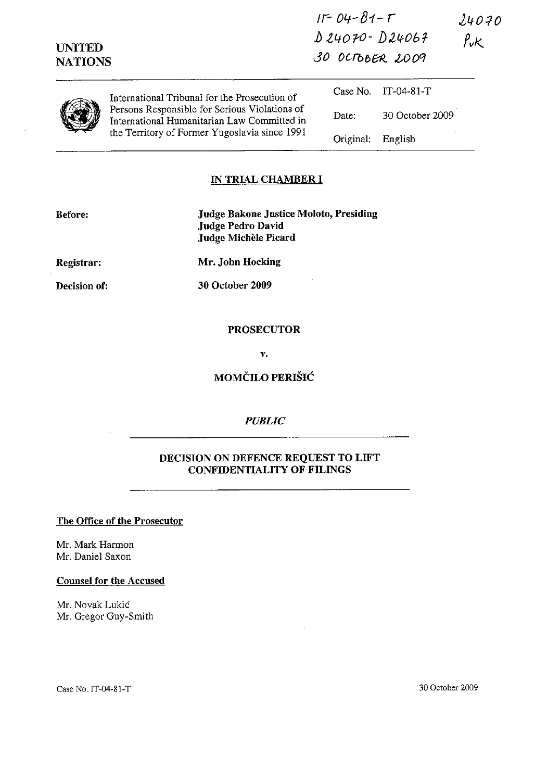| <b>UNITED</b><br><b>NATIONS</b> |                                                                                                                                                                                                | $11 - 04 - 81 - T$<br>$D24070 - D24067$<br>30 OCTOBER 2009 |                 | 24071<br>$\rho_{\mathsf{v}\mathsf{K}}$ |
|---------------------------------|------------------------------------------------------------------------------------------------------------------------------------------------------------------------------------------------|------------------------------------------------------------|-----------------|----------------------------------------|
|                                 | International Tribunal for the Prosecution of<br>Persons Responsible for Serious Violations of<br>International Humanitarian Law Committed in<br>the Territory of Former Yugoslavia since 1991 | Case No.                                                   | IT-04-81-T      |                                        |
|                                 |                                                                                                                                                                                                | Date:                                                      | 30 October 2009 |                                        |
|                                 |                                                                                                                                                                                                | Original:                                                  | English         |                                        |

## IN TRIAL CHAMBER I

| Before:             | <b>Judge Bakone Justice Moloto, Presiding</b><br><b>Judge Pedro David</b><br>Judge Michèle Picard |
|---------------------|---------------------------------------------------------------------------------------------------|
| Registrar:          | Mr. John Hocking                                                                                  |
| <b>Decision of:</b> | 30 October 2009                                                                                   |
|                     |                                                                                                   |

#### PROSECUTOR

v.

## MOMČILO PERIŠIĆ

### *PUBLIC*

### DECISION ON DEFENCE REQUEST TO LIFT CONFIDENTIALITY OF FILINGS

# The Office of the Prosecutor

Mr. Mark Harmon Mr. Daniel Saxon

### Counsel for the Accused

Mr. Novak Lukic Mr. Gregor Guy-Smith  $24070$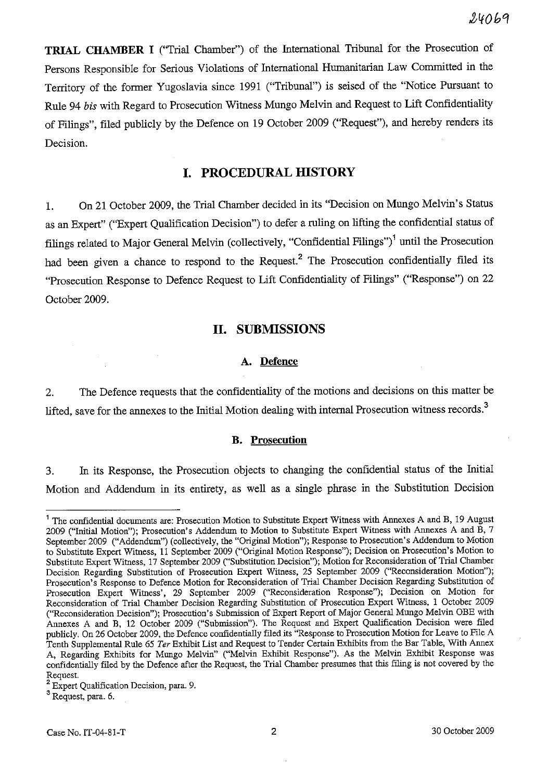$24069$ 

**TRIAL CHAMBER I** ("Trial Chamber") of the International Tribunal for the Prosecution of Persons Responsible for Serious Violations of International Humanitarian Law Committed in the Territory of the former Yugoslavia since 1991 (''Tribunal'') is seised of the "Notice Pursuant to Rule 94 *bis* with Regard to Prosecution Witness Mungo Melvin and Request to Lift Confidentiality of Filings", filed publicly by the Defence on 19 October 2009 ("Request"), and hereby renders its Decision.

# **I. PROCEDURAL HISTORY**

1. On 21 October 2Q09, the Trial Chamber decided in its "Decision on Mungo Melvin's Status as an Expert" ("Expert Qualification Decision") to defer a ruling on lifting the confidential status of filings related to Major General Melvin (collectively, "Confidential Filings")<sup>1</sup> until the Prosecution had been given a chance to respond to the Request.<sup>2</sup> The Prosecution confidentially filed its "Prosecution Response to Defence Request to Lift Confidentiality of Filings" ("Response") on 22 October 2009.

## **11. SUBMISSIONS**

### A. **Defence**

2. The Defence requests that the confidentiality of the motions and decisions on this matter be lifted, save for the annexes to the Initial Motion dealing with internal Prosecution witness records.<sup>3</sup>

## **B. Prosecution**

3. In its Response, the Prosecution objects to changing the confidential status of the Initial Motion and Addendum in its entirety, as well as a single phrase in the Substitution Decision

<sup>&</sup>lt;sup>1</sup> The confidential documents are: Prosecution Motion to Substitute Expert Witness with Annexes A and B, 19 August 2009 ("Initial Motion"); Prosecution's Addendum to Motion to Substitute Expert Witness with Annexes A and B, 7 September 2009 ("Addendum") (collectively, the "Original Motion"); Response to Prosecution's Addendum to Motion to Substitute Expert Witness, 11 September 2009 ("Original Motion Response"); Decision on Prosecution's Motion to Substitute Expert Witness, 17 September 2009 ("Substitution Decision"); Motion for Reconsideration of Trial Chamber Decision Regarding Substitution of Prosecution Expert Witness, 25 September 2009 ("Reconsideration Motion"); Prosecution's Response to Defence Motion for Reconsideration of Trial Chamber Decision Regarding Substitution of Prosecution Expert Witness', 29 September 2009 ("Reconsideration Response"); Decision on Motion for Reconsideration of Trial Chamber Decision Regarding Substitution of Prosecution Expert Witness, 1 October 2009 ("Reconsideration Decision"); Prosecution's Submission of Expert Report of Major General Mungo Melvin OBE with Annexes A and B, 12 October 2009 ("Submission"). The Request and Expert Qualification Decision were filed publicly. On 26 October 2009, the Defence confidentially filed its "Response to Prosecution Motion for Leave to File A Tenth Supplemental Rule 65 *Ter* Exhibit List and Request to Tender Certain Exhibits from the Bar Table, With Annex A, Regarding Exhibits for Mungo Melvin" ("Melvin Exhibit Response"). As the Melvin Exhibit Response was confidentially filed by the Defence after the Request, the Trial Chamber presumes that this filing is not covered by the Request.

<sup>2</sup>Expert Qualification Decision, para. 9.

<sup>3</sup> Request, para. 6.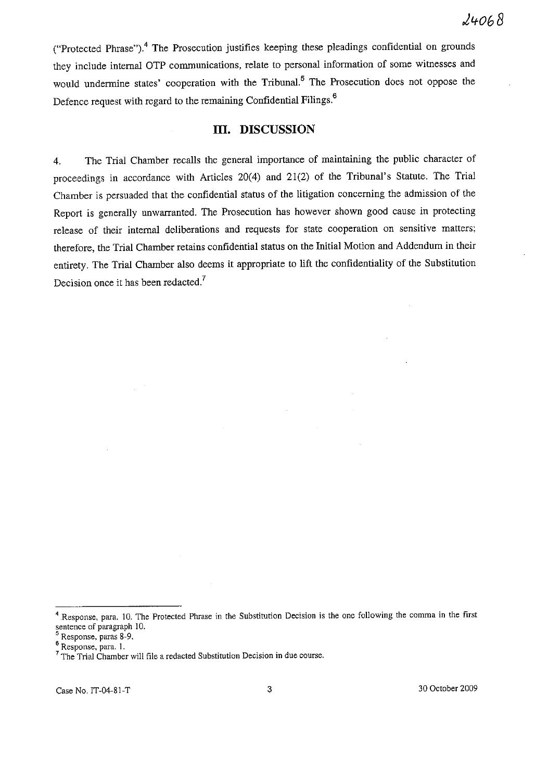("Protected Phrase").<sup>4</sup> The Prosecution justifies keeping these pleadings confidential on grounds they include internal OTP communications, relate to personal information of some witnesses and would undermine states' cooperation with the Tribunal.<sup>5</sup> The Prosecution does not oppose the Defence request with regard to the remaining Confidential Filings.<sup>6</sup>

## **Ill. DISCUSSION**

4. The Trial Chamber recalls the general importance of maintaining the public character of proceedings in accordance with Articles 20(4) and 21(2) of the Tribunal's Statute. The Trial Chamber is persuaded that the confidential status of the litigation concerning the admission of the Report is generally unwarranted. The Prosecution has however shown good cause in protecting release of their internal deliberations and requests for state cooperation on sensitive matters; therefore, the Trial Chamber retains confidential status on the Initial Motion and Addendum in their entirety. The Trial Chamber also deems it appropriate to lift the confidentiality of the Substitution Decision once it has been redacted.<sup>7</sup>

Case No. IT-04-81-T 3 30 October 2009

**<sup>4</sup> Response, para, 10. The Protected Phrase in the Substitution Decision is the one following the comma in the first**  sentence of paragraph 10.

<sup>5</sup> **Response, paras 8-9.** 

**<sup>6</sup> Response, para. 1.** 

**<sup>7</sup> The Trial Chamber will file a redacted Substitution Decision in due course.**